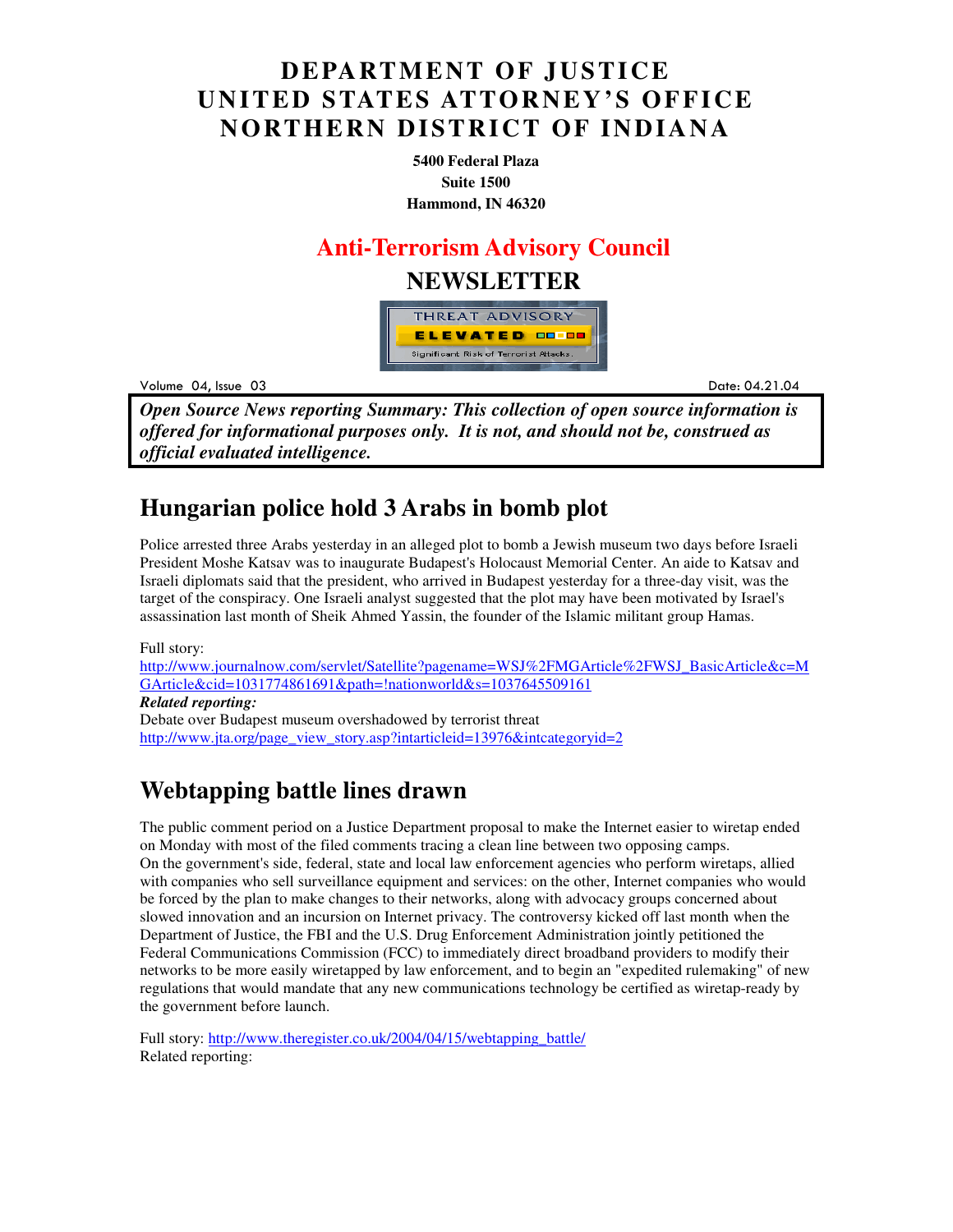## **DEPARTMENT OF JUSTICE UNITED STATES ATTORNEY'S OFFICE NORTHERN DISTRICT OF INDIANA**

**5400 Federal Plaza Suite 1500 Hammond, IN 46320**

#### **Anti-Terrorism Advisory Council**

#### **NEWSLETTER**



Volume 04

example to the set of the set of the set of the set of the set of the set of the set of the set of the set of the set of the set of the set of the set of the set of the set of the set of the set of the set of the set of th Date: 04.21.04

*Open Source News reporting Summary: This collection of open source information is offered for informational purposes only. It is not, and should not be, construed as official evaluated intelligence.*

## **Hungarian police hold 3 Arabs in bomb plot**

Police arrested three Arabs yesterday in an alleged plot to bomb a Jewish museum two days before Israeli President Moshe Katsav was to inaugurate Budapest's Holocaust Memorial Center. An aide to Katsav and Israeli diplomats said that the president, who arrived in Budapest yesterday for a three-day visit, was the target of the conspiracy. One Israeli analyst suggested that the plot may have been motivated by Israel's assassination last month of Sheik Ahmed Yassin, the founder of the Islamic militant group Hamas.

Full story: http://www.journalnow.com/servlet/Satellite?pagename=WSJ%2FMGArticle%2FWSJ\_BasicArticle&c=M GArticle&cid=1031774861691&path=!nationworld&s=1037645509161 *Related reporting:*  Debate over Budapest museum overshadowed by terrorist threat http://www.jta.org/page\_view\_story.asp?intarticleid=13976&intcategoryid=2

# **Webtapping battle lines drawn**

The public comment period on a Justice Department proposal to make the Internet easier to wiretap ended on Monday with most of the filed comments tracing a clean line between two opposing camps. On the government's side, federal, state and local law enforcement agencies who perform wiretaps, allied with companies who sell surveillance equipment and services: on the other, Internet companies who would be forced by the plan to make changes to their networks, along with advocacy groups concerned about slowed innovation and an incursion on Internet privacy. The controversy kicked off last month when the Department of Justice, the FBI and the U.S. Drug Enforcement Administration jointly petitioned the Federal Communications Commission (FCC) to immediately direct broadband providers to modify their networks to be more easily wiretapped by law enforcement, and to begin an "expedited rulemaking" of new regulations that would mandate that any new communications technology be certified as wiretap-ready by the government before launch.

Full story: http://www.theregister.co.uk/2004/04/15/webtapping\_battle/ Related reporting: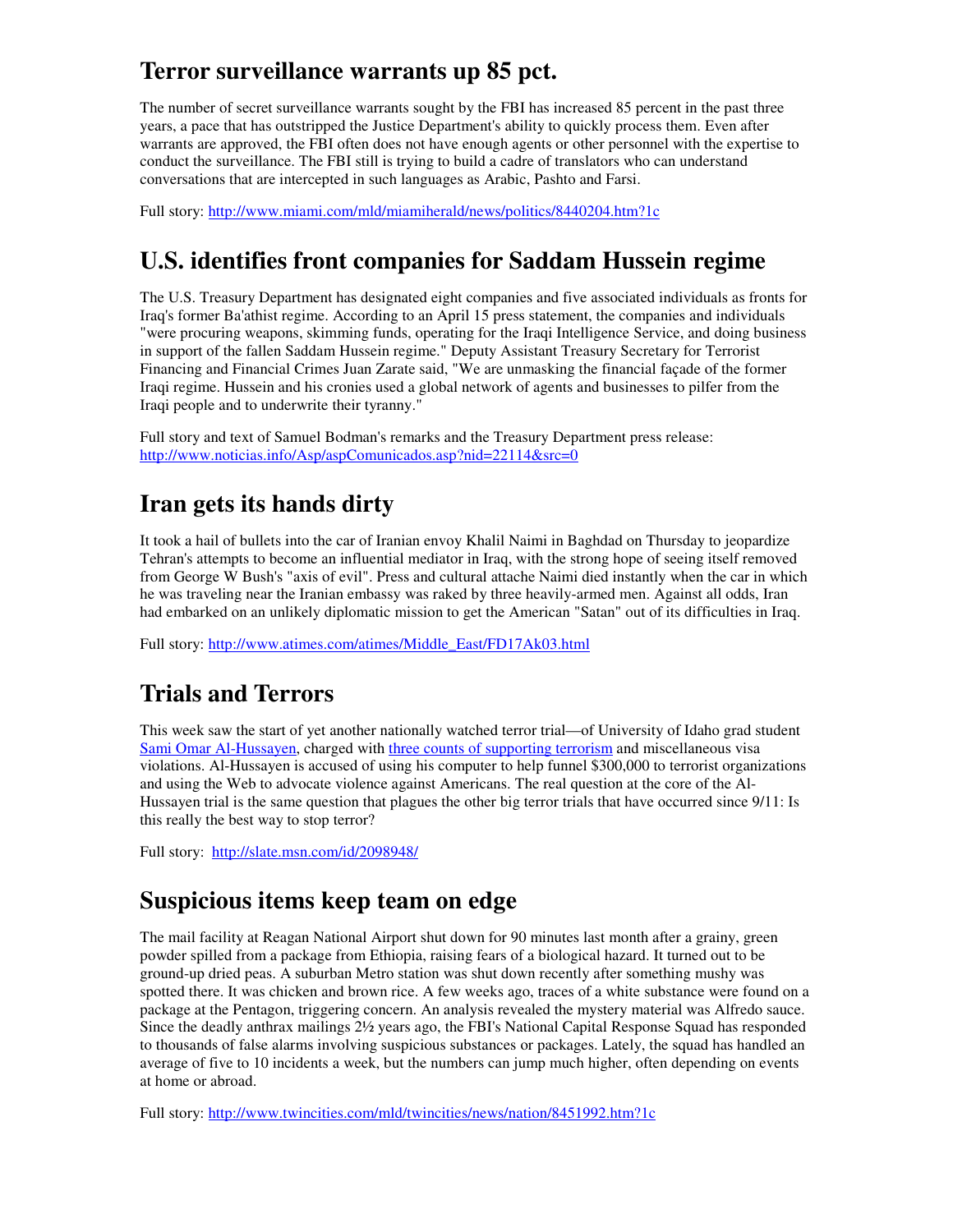## **Terror surveillance warrants up 85 pct.**

The number of secret surveillance warrants sought by the FBI has increased 85 percent in the past three years, a pace that has outstripped the Justice Department's ability to quickly process them. Even after warrants are approved, the FBI often does not have enough agents or other personnel with the expertise to conduct the surveillance. The FBI still is trying to build a cadre of translators who can understand conversations that are intercepted in such languages as Arabic, Pashto and Farsi.

Full story: http://www.miami.com/mld/miamiherald/news/politics/8440204.htm?1c

# **U.S. identifies front companies for Saddam Hussein regime**

The U.S. Treasury Department has designated eight companies and five associated individuals as fronts for Iraq's former Ba'athist regime. According to an April 15 press statement, the companies and individuals "were procuring weapons, skimming funds, operating for the Iraqi Intelligence Service, and doing business in support of the fallen Saddam Hussein regime." Deputy Assistant Treasury Secretary for Terrorist Financing and Financial Crimes Juan Zarate said, "We are unmasking the financial façade of the former Iraqi regime. Hussein and his cronies used a global network of agents and businesses to pilfer from the Iraqi people and to underwrite their tyranny."

Full story and text of Samuel Bodman's remarks and the Treasury Department press release: http://www.noticias.info/Asp/aspComunicados.asp?nid=22114&src=0

# **Iran gets its hands dirty**

It took a hail of bullets into the car of Iranian envoy Khalil Naimi in Baghdad on Thursday to jeopardize Tehran's attempts to become an influential mediator in Iraq, with the strong hope of seeing itself removed from George W Bush's "axis of evil". Press and cultural attache Naimi died instantly when the car in which he was traveling near the Iranian embassy was raked by three heavily-armed men. Against all odds, Iran had embarked on an unlikely diplomatic mission to get the American "Satan" out of its difficulties in Iraq.

Full story: http://www.atimes.com/atimes/Middle\_East/FD17Ak03.html

## **Trials and Terrors**

This week saw the start of yet another nationally watched terror trial—of University of Idaho grad student Sami Omar Al-Hussayen, charged with three counts of supporting terrorism and miscellaneous visa violations. Al-Hussayen is accused of using his computer to help funnel \$300,000 to terrorist organizations and using the Web to advocate violence against Americans. The real question at the core of the Al-Hussayen trial is the same question that plagues the other big terror trials that have occurred since 9/11: Is this really the best way to stop terror?

Full story: http://slate.msn.com/id/2098948/

## **Suspicious items keep team on edge**

The mail facility at Reagan National Airport shut down for 90 minutes last month after a grainy, green powder spilled from a package from Ethiopia, raising fears of a biological hazard. It turned out to be ground-up dried peas. A suburban Metro station was shut down recently after something mushy was spotted there. It was chicken and brown rice. A few weeks ago, traces of a white substance were found on a package at the Pentagon, triggering concern. An analysis revealed the mystery material was Alfredo sauce. Since the deadly anthrax mailings 2½ years ago, the FBI's National Capital Response Squad has responded to thousands of false alarms involving suspicious substances or packages. Lately, the squad has handled an average of five to 10 incidents a week, but the numbers can jump much higher, often depending on events at home or abroad.

Full story: http://www.twincities.com/mld/twincities/news/nation/8451992.htm?1c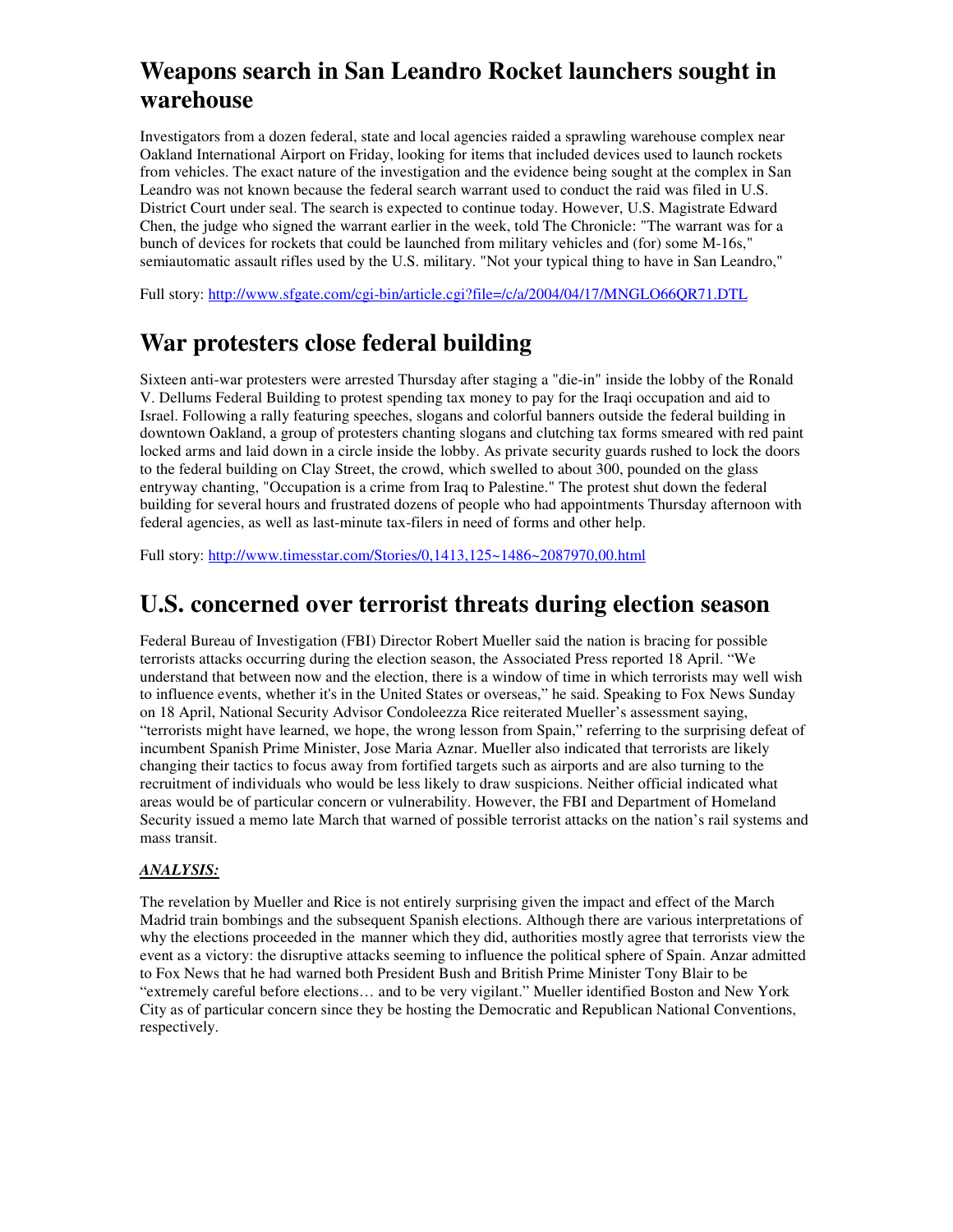# **Weapons search in San Leandro Rocket launchers sought in warehouse**

Investigators from a dozen federal, state and local agencies raided a sprawling warehouse complex near Oakland International Airport on Friday, looking for items that included devices used to launch rockets from vehicles. The exact nature of the investigation and the evidence being sought at the complex in San Leandro was not known because the federal search warrant used to conduct the raid was filed in U.S. District Court under seal. The search is expected to continue today. However, U.S. Magistrate Edward Chen, the judge who signed the warrant earlier in the week, told The Chronicle: "The warrant was for a bunch of devices for rockets that could be launched from military vehicles and (for) some M-16s," semiautomatic assault rifles used by the U.S. military. "Not your typical thing to have in San Leandro,"

Full story: http://www.sfgate.com/cgi-bin/article.cgi?file=/c/a/2004/04/17/MNGLO66QR71.DTL

## **War protesters close federal building**

Sixteen anti-war protesters were arrested Thursday after staging a "die-in" inside the lobby of the Ronald V. Dellums Federal Building to protest spending tax money to pay for the Iraqi occupation and aid to Israel. Following a rally featuring speeches, slogans and colorful banners outside the federal building in downtown Oakland, a group of protesters chanting slogans and clutching tax forms smeared with red paint locked arms and laid down in a circle inside the lobby. As private security guards rushed to lock the doors to the federal building on Clay Street, the crowd, which swelled to about 300, pounded on the glass entryway chanting, "Occupation is a crime from Iraq to Palestine." The protest shut down the federal building for several hours and frustrated dozens of people who had appointments Thursday afternoon with federal agencies, as well as last-minute tax-filers in need of forms and other help.

Full story: http://www.timesstar.com/Stories/0,1413,125~1486~2087970,00.html

#### **U.S. concerned over terrorist threats during election season**

Federal Bureau of Investigation (FBI) Director Robert Mueller said the nation is bracing for possible terrorists attacks occurring during the election season, the Associated Press reported 18 April. "We understand that between now and the election, there is a window of time in which terrorists may well wish to influence events, whether it's in the United States or overseas," he said. Speaking to Fox News Sunday on 18 April, National Security Advisor Condoleezza Rice reiterated Mueller's assessment saying, "terrorists might have learned, we hope, the wrong lesson from Spain," referring to the surprising defeat of incumbent Spanish Prime Minister, Jose Maria Aznar. Mueller also indicated that terrorists are likely changing their tactics to focus away from fortified targets such as airports and are also turning to the recruitment of individuals who would be less likely to draw suspicions. Neither official indicated what areas would be of particular concern or vulnerability. However, the FBI and Department of Homeland Security issued a memo late March that warned of possible terrorist attacks on the nation's rail systems and mass transit.

#### *ANALYSIS:*

The revelation by Mueller and Rice is not entirely surprising given the impact and effect of the March Madrid train bombings and the subsequent Spanish elections. Although there are various interpretations of why the elections proceeded in the manner which they did, authorities mostly agree that terrorists view the event as a victory: the disruptive attacks seeming to influence the political sphere of Spain. Anzar admitted to Fox News that he had warned both President Bush and British Prime Minister Tony Blair to be "extremely careful before elections… and to be very vigilant." Mueller identified Boston and New York City as of particular concern since they be hosting the Democratic and Republican National Conventions, respectively.